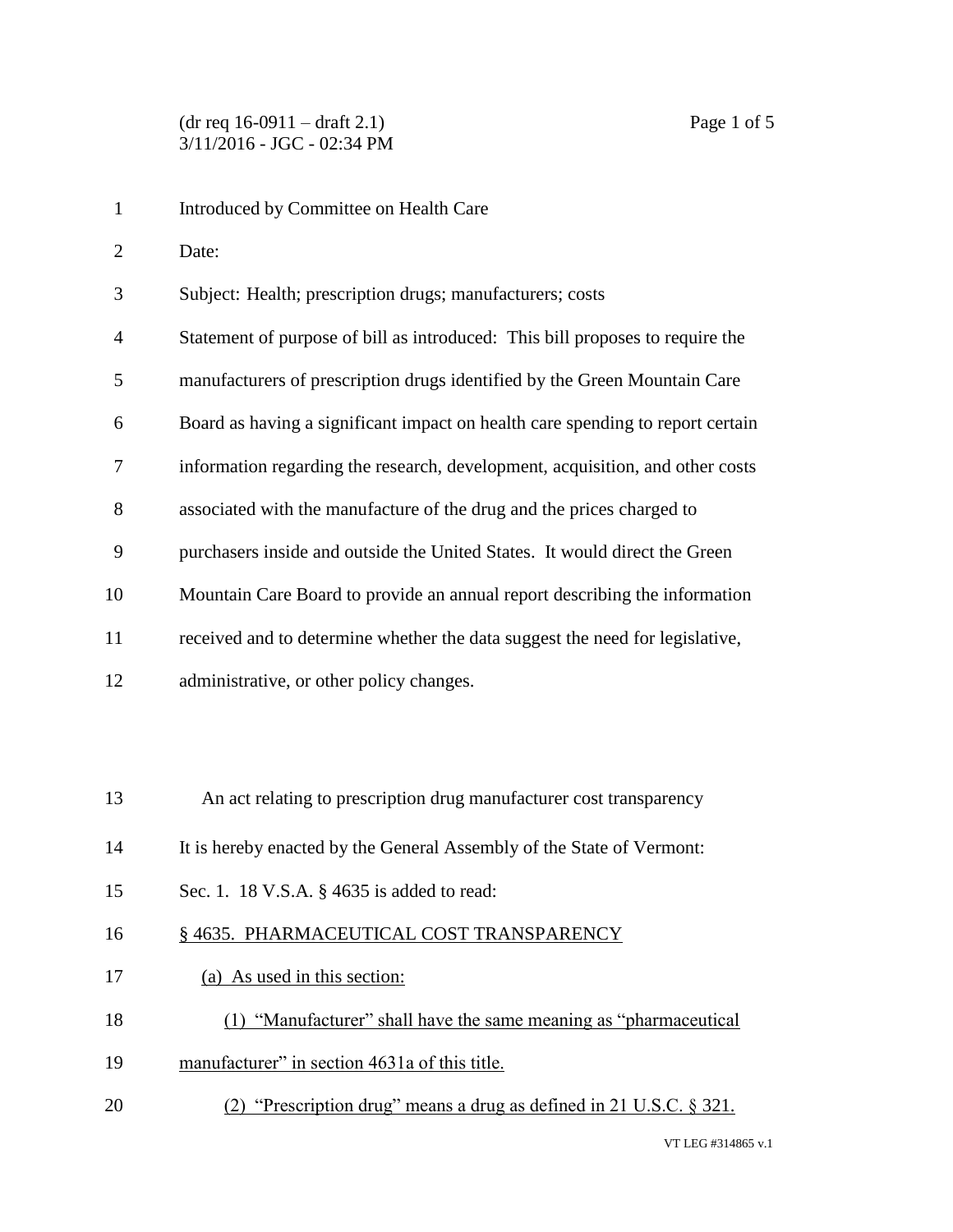Introduced by Committee on Health Care Date: Subject: Health; prescription drugs; manufacturers; costs Statement of purpose of bill as introduced: This bill proposes to require the manufacturers of prescription drugs identified by the Green Mountain Care Board as having a significant impact on health care spending to report certain information regarding the research, development, acquisition, and other costs associated with the manufacture of the drug and the prices charged to purchasers inside and outside the United States. It would direct the Green Mountain Care Board to provide an annual report describing the information received and to determine whether the data suggest the need for legislative, administrative, or other policy changes. An act relating to prescription drug manufacturer cost transparency It is hereby enacted by the General Assembly of the State of Vermont: Sec. 1. 18 V.S.A. § 4635 is added to read: 16 § 4635. PHARMACEUTICAL COST TRANSPARENCY (a) As used in this section: (1) "Manufacturer" shall have the same meaning as "pharmaceutical manufacturer" in section 4631a of this title. (2) "Prescription drug" means a drug as defined in 21 U.S.C. § 321.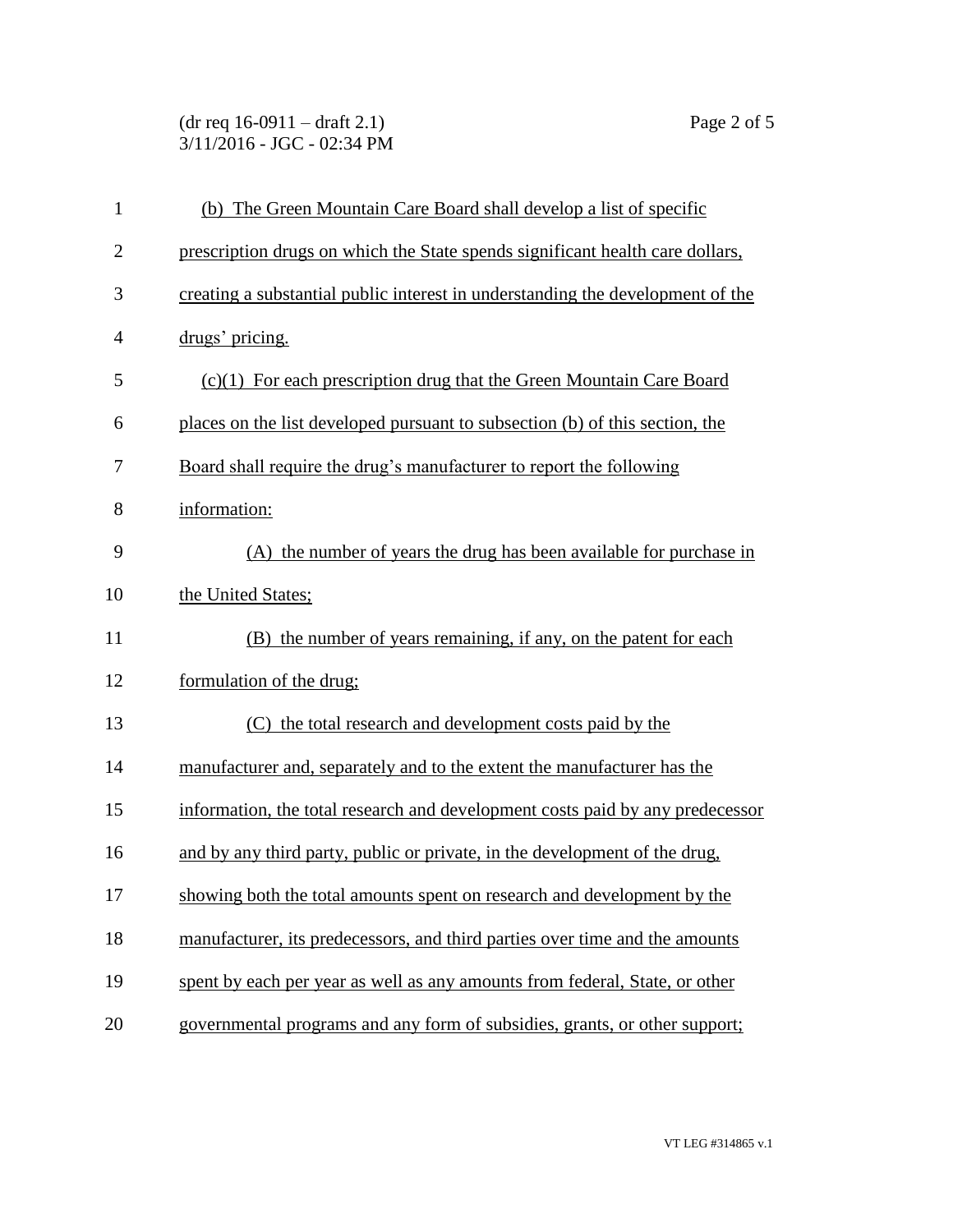(dr req 16-0911 – draft 2.1) Page 2 of 5 3/11/2016 - JGC - 02:34 PM

| $\mathbf{1}$   | (b) The Green Mountain Care Board shall develop a list of specific             |
|----------------|--------------------------------------------------------------------------------|
| $\overline{2}$ | prescription drugs on which the State spends significant health care dollars,  |
| 3              | creating a substantial public interest in understanding the development of the |
| $\overline{4}$ | drugs' pricing.                                                                |
| 5              | $(c)(1)$ For each prescription drug that the Green Mountain Care Board         |
| 6              | places on the list developed pursuant to subsection (b) of this section, the   |
| 7              | Board shall require the drug's manufacturer to report the following            |
| 8              | information:                                                                   |
| 9              | (A) the number of years the drug has been available for purchase in            |
| 10             | the United States;                                                             |
| 11             | (B) the number of years remaining, if any, on the patent for each              |
| 12             | formulation of the drug;                                                       |
| 13             | the total research and development costs paid by the                           |
| 14             | manufacturer and, separately and to the extent the manufacturer has the        |
| 15             | information, the total research and development costs paid by any predecessor  |
| 16             | and by any third party, public or private, in the development of the drug,     |
| 17             | showing both the total amounts spent on research and development by the        |
| 18             | manufacturer, its predecessors, and third parties over time and the amounts    |
| 19             | spent by each per year as well as any amounts from federal, State, or other    |
| 20             | governmental programs and any form of subsidies, grants, or other support;     |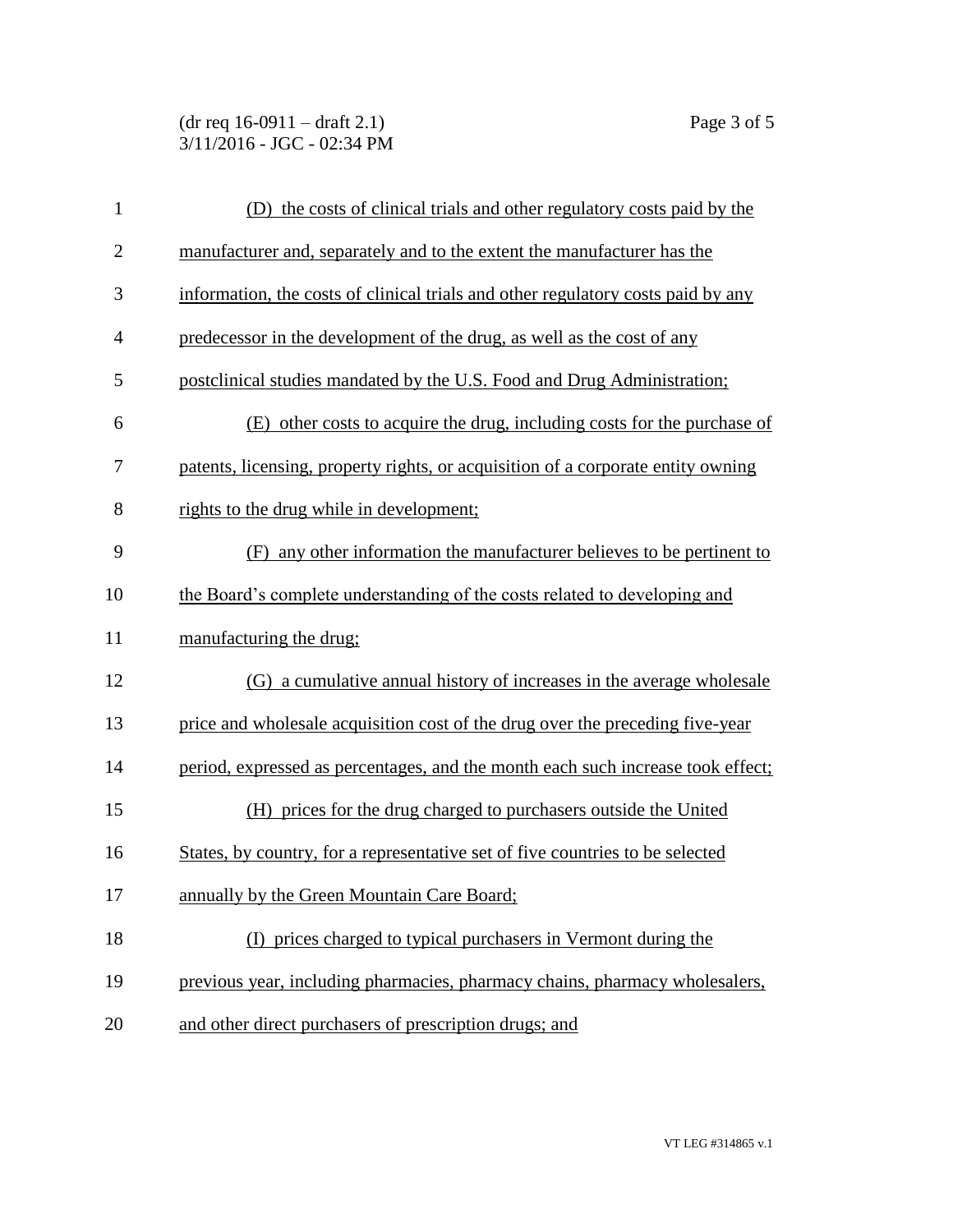(dr req 16-0911 – draft 2.1) Page 3 of 5 3/11/2016 - JGC - 02:34 PM

| $\mathbf{1}$   | (D) the costs of clinical trials and other regulatory costs paid by the          |
|----------------|----------------------------------------------------------------------------------|
| $\overline{2}$ | manufacturer and, separately and to the extent the manufacturer has the          |
| 3              | information, the costs of clinical trials and other regulatory costs paid by any |
| $\overline{4}$ | predecessor in the development of the drug, as well as the cost of any           |
| 5              | postclinical studies mandated by the U.S. Food and Drug Administration;          |
| 6              | (E) other costs to acquire the drug, including costs for the purchase of         |
| 7              | patents, licensing, property rights, or acquisition of a corporate entity owning |
| 8              | rights to the drug while in development;                                         |
| 9              | (F) any other information the manufacturer believes to be pertinent to           |
| 10             | the Board's complete understanding of the costs related to developing and        |
| 11             | manufacturing the drug;                                                          |
| 12             | (G) a cumulative annual history of increases in the average wholesale            |
| 13             | price and wholesale acquisition cost of the drug over the preceding five-year    |
| 14             | period, expressed as percentages, and the month each such increase took effect;  |
| 15             | (H) prices for the drug charged to purchasers outside the United                 |
| 16             | States, by country, for a representative set of five countries to be selected    |
| 17             | annually by the Green Mountain Care Board;                                       |
| 18             | (I) prices charged to typical purchasers in Vermont during the                   |
| 19             | previous year, including pharmacies, pharmacy chains, pharmacy wholesalers,      |
| 20             | and other direct purchasers of prescription drugs; and                           |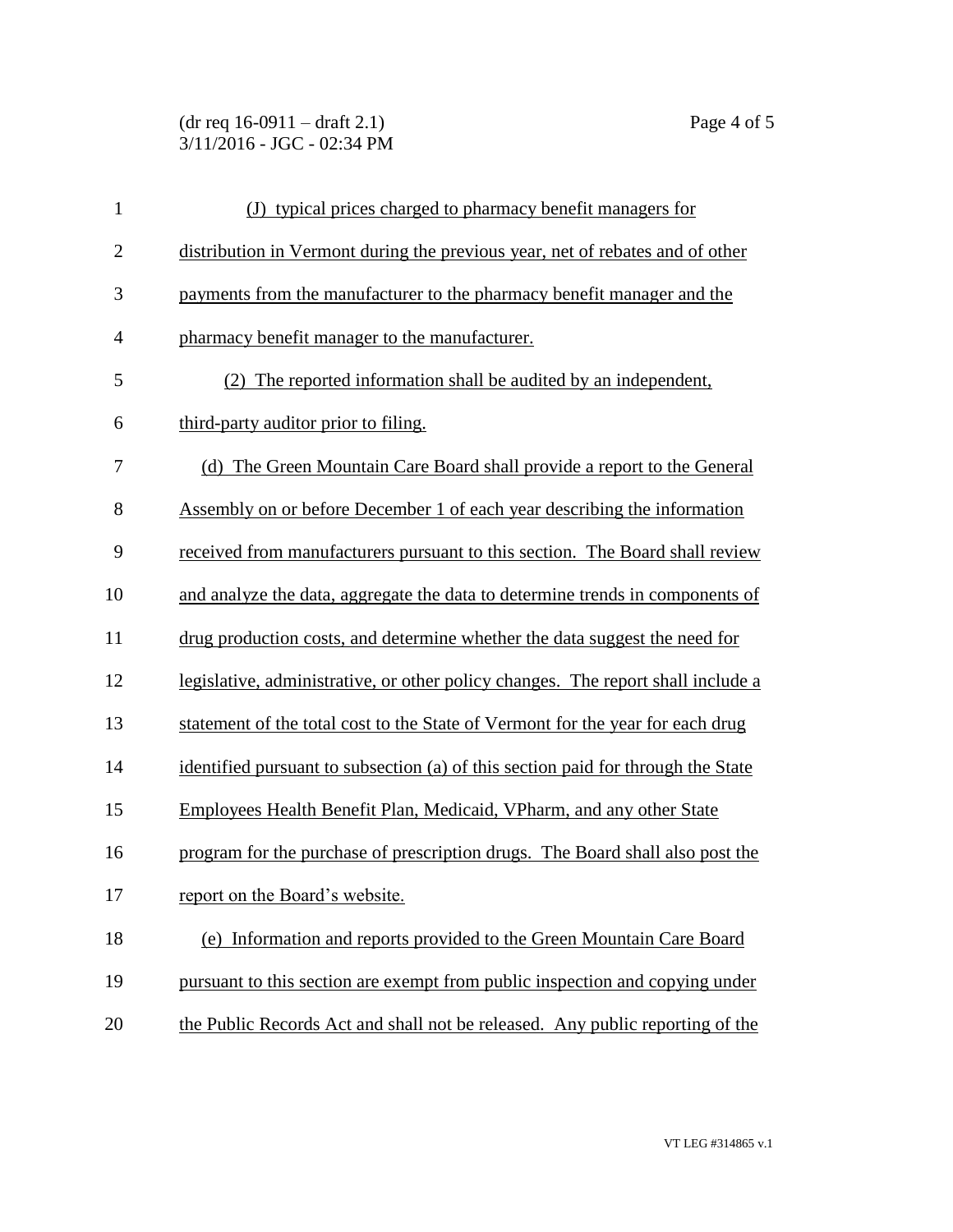## (dr req 16-0911 – draft 2.1) Page 4 of 5 3/11/2016 - JGC - 02:34 PM

| $\mathbf{1}$   | (J) typical prices charged to pharmacy benefit managers for                      |
|----------------|----------------------------------------------------------------------------------|
| $\overline{2}$ | distribution in Vermont during the previous year, net of rebates and of other    |
| 3              | payments from the manufacturer to the pharmacy benefit manager and the           |
| $\overline{4}$ | pharmacy benefit manager to the manufacturer.                                    |
| 5              | (2) The reported information shall be audited by an independent,                 |
| 6              | third-party auditor prior to filing.                                             |
| 7              | (d) The Green Mountain Care Board shall provide a report to the General          |
| 8              | Assembly on or before December 1 of each year describing the information         |
| 9              | received from manufacturers pursuant to this section. The Board shall review     |
| 10             | and analyze the data, aggregate the data to determine trends in components of    |
| 11             | drug production costs, and determine whether the data suggest the need for       |
| 12             | legislative, administrative, or other policy changes. The report shall include a |
| 13             | statement of the total cost to the State of Vermont for the year for each drug   |
| 14             | identified pursuant to subsection (a) of this section paid for through the State |
| 15             | Employees Health Benefit Plan, Medicaid, VPharm, and any other State             |
| 16             | program for the purchase of prescription drugs. The Board shall also post the    |
| 17             | report on the Board's website.                                                   |
| 18             | (e) Information and reports provided to the Green Mountain Care Board            |
| 19             | pursuant to this section are exempt from public inspection and copying under     |
| 20             | the Public Records Act and shall not be released. Any public reporting of the    |